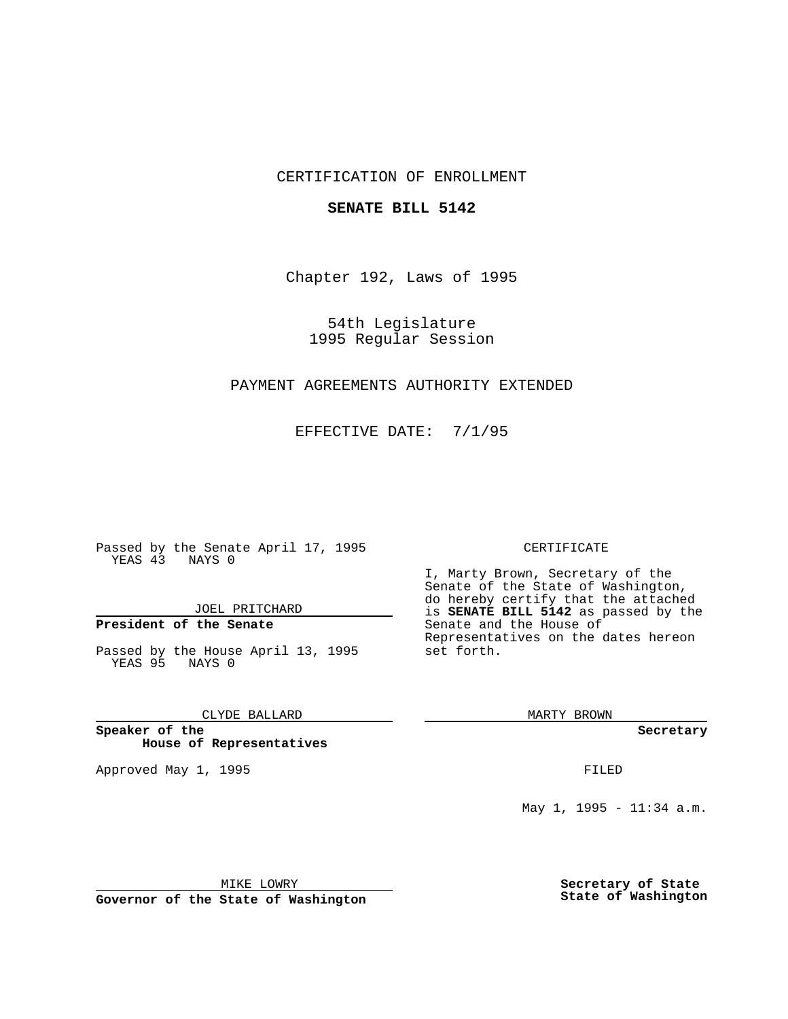## CERTIFICATION OF ENROLLMENT

## **SENATE BILL 5142**

Chapter 192, Laws of 1995

54th Legislature 1995 Regular Session

# PAYMENT AGREEMENTS AUTHORITY EXTENDED

EFFECTIVE DATE: 7/1/95

Passed by the Senate April 17, 1995 YEAS 43 NAYS 0

JOEL PRITCHARD

# **President of the Senate**

Passed by the House April 13, 1995 YEAS 95 NAYS 0

CLYDE BALLARD

**Speaker of the House of Representatives**

Approved May 1, 1995 **FILED** 

#### CERTIFICATE

I, Marty Brown, Secretary of the Senate of the State of Washington, do hereby certify that the attached is **SENATE BILL 5142** as passed by the Senate and the House of Representatives on the dates hereon set forth.

MARTY BROWN

**Secretary**

May 1, 1995 - 11:34 a.m.

MIKE LOWRY

**Governor of the State of Washington**

**Secretary of State State of Washington**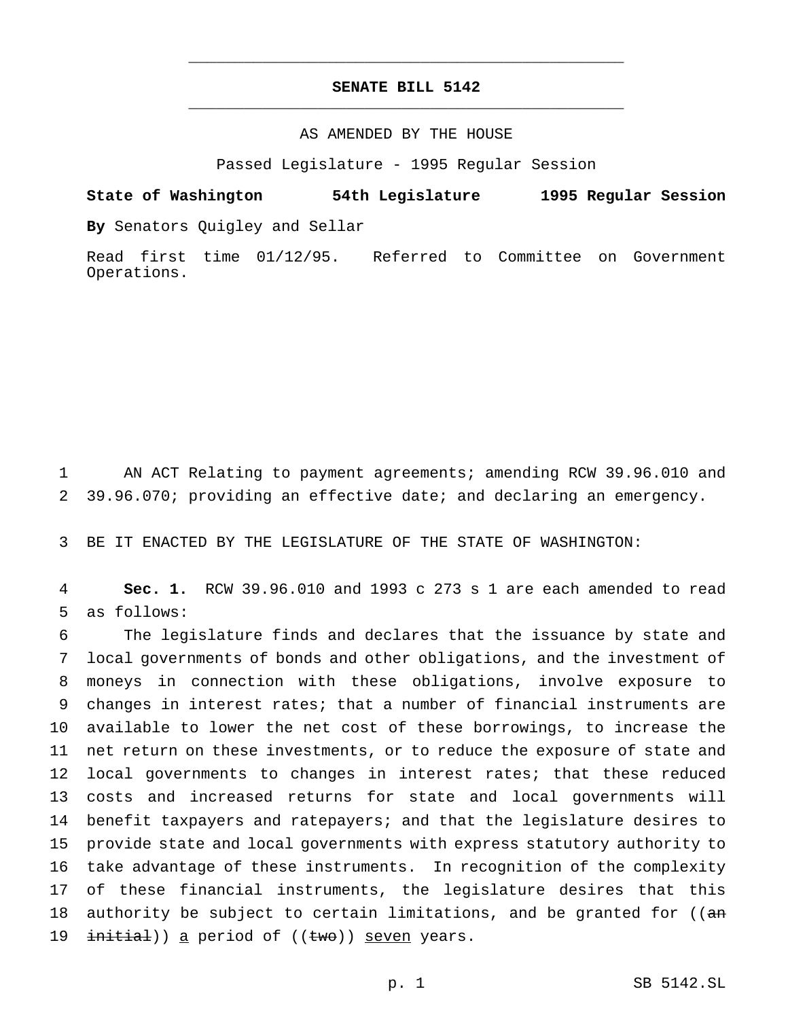# **SENATE BILL 5142** \_\_\_\_\_\_\_\_\_\_\_\_\_\_\_\_\_\_\_\_\_\_\_\_\_\_\_\_\_\_\_\_\_\_\_\_\_\_\_\_\_\_\_\_\_\_\_

\_\_\_\_\_\_\_\_\_\_\_\_\_\_\_\_\_\_\_\_\_\_\_\_\_\_\_\_\_\_\_\_\_\_\_\_\_\_\_\_\_\_\_\_\_\_\_

## AS AMENDED BY THE HOUSE

Passed Legislature - 1995 Regular Session

**State of Washington 54th Legislature 1995 Regular Session By** Senators Quigley and Sellar

Read first time 01/12/95. Referred to Committee on Government Operations.

1 AN ACT Relating to payment agreements; amending RCW 39.96.010 and 2 39.96.070; providing an effective date; and declaring an emergency.

3 BE IT ENACTED BY THE LEGISLATURE OF THE STATE OF WASHINGTON:

4 **Sec. 1.** RCW 39.96.010 and 1993 c 273 s 1 are each amended to read 5 as follows:

 The legislature finds and declares that the issuance by state and local governments of bonds and other obligations, and the investment of moneys in connection with these obligations, involve exposure to changes in interest rates; that a number of financial instruments are available to lower the net cost of these borrowings, to increase the net return on these investments, or to reduce the exposure of state and 12 local governments to changes in interest rates; that these reduced costs and increased returns for state and local governments will benefit taxpayers and ratepayers; and that the legislature desires to provide state and local governments with express statutory authority to take advantage of these instruments. In recognition of the complexity of these financial instruments, the legislature desires that this 18 authority be subject to certain limitations, and be granted for ((an 19 initial)) a period of ((two)) seven years.